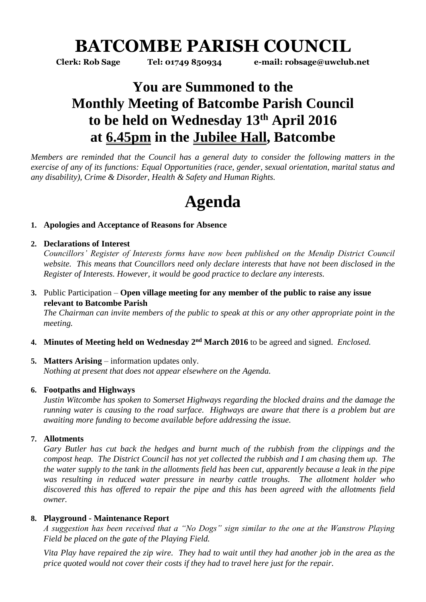# **BATCOMBE PARISH COUNCIL**

**Clerk: Rob Sage Tel: 01749 850934 e-mail: robsage@uwclub.net**

# **You are Summoned to the Monthly Meeting of Batcombe Parish Council to be held on Wednesday 13th April 2016 at 6.45pm in the Jubilee Hall, Batcombe**

*Members are reminded that the Council has a general duty to consider the following matters in the exercise of any of its functions: Equal Opportunities (race, gender, sexual orientation, marital status and any disability), Crime & Disorder, Health & Safety and Human Rights.* 

# **Agenda**

# **1. Apologies and Acceptance of Reasons for Absence**

# **2. Declarations of Interest**

*Councillors' Register of Interests forms have now been published on the Mendip District Council website. This means that Councillors need only declare interests that have not been disclosed in the Register of Interests. However, it would be good practice to declare any interests.*

**3.** Public Participation – **Open village meeting for any member of the public to raise any issue relevant to Batcombe Parish**

*The Chairman can invite members of the public to speak at this or any other appropriate point in the meeting.*

4. Minutes of Meeting held on Wednesday 2<sup>nd</sup> March 2016 to be agreed and signed. *Enclosed*.

# **5. Matters Arising** – information updates only. *Nothing at present that does not appear elsewhere on the Agenda.*

# **6. Footpaths and Highways**

*Justin Witcombe has spoken to Somerset Highways regarding the blocked drains and the damage the running water is causing to the road surface. Highways are aware that there is a problem but are awaiting more funding to become available before addressing the issue.* 

# **7. Allotments**

*Gary Butler has cut back the hedges and burnt much of the rubbish from the clippings and the compost heap. The District Council has not yet collected the rubbish and I am chasing them up. The the water supply to the tank in the allotments field has been cut, apparently because a leak in the pipe was resulting in reduced water pressure in nearby cattle troughs. The allotment holder who discovered this has offered to repair the pipe and this has been agreed with the allotments field owner.* 

# **8. Playground - Maintenance Report**

*A suggestion has been received that a "No Dogs" sign similar to the one at the Wanstrow Playing Field be placed on the gate of the Playing Field.* 

*Vita Play have repaired the zip wire. They had to wait until they had another job in the area as the price quoted would not cover their costs if they had to travel here just for the repair.*